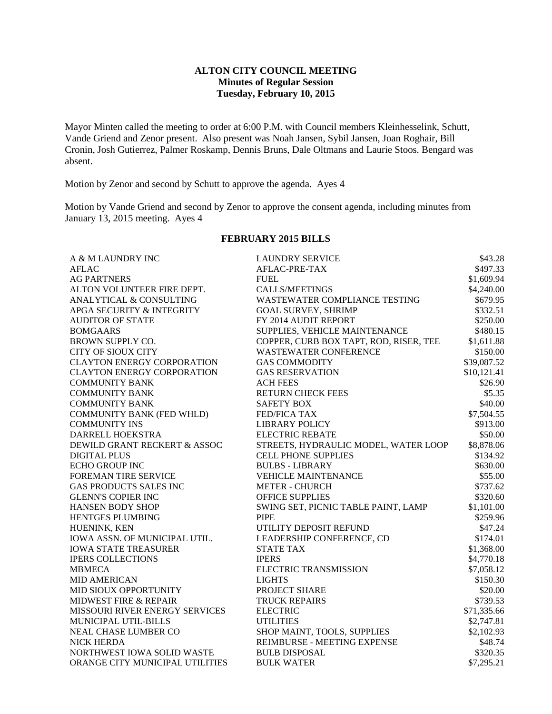### **ALTON CITY COUNCIL MEETING Minutes of Regular Session Tuesday, February 10, 2015**

Mayor Minten called the meeting to order at 6:00 P.M. with Council members Kleinhesselink, Schutt, Vande Griend and Zenor present. Also present was Noah Jansen, Sybil Jansen, Joan Roghair, Bill Cronin, Josh Gutierrez, Palmer Roskamp, Dennis Bruns, Dale Oltmans and Laurie Stoos. Bengard was absent.

Motion by Zenor and second by Schutt to approve the agenda. Ayes 4

Motion by Vande Griend and second by Zenor to approve the consent agenda, including minutes from January 13, 2015 meeting. Ayes 4

### **FEBRUARY 2015 BILLS**

| A & M LAUNDRY INC                 | <b>LAUNDRY SERVICE</b>                 | \$43.28     |
|-----------------------------------|----------------------------------------|-------------|
| <b>AFLAC</b>                      | AFLAC-PRE-TAX                          | \$497.33    |
| <b>AG PARTNERS</b>                | <b>FUEL</b>                            | \$1,609.94  |
| ALTON VOLUNTEER FIRE DEPT.        | <b>CALLS/MEETINGS</b>                  | \$4,240.00  |
| ANALYTICAL & CONSULTING           | WASTEWATER COMPLIANCE TESTING          | \$679.95    |
| APGA SECURITY & INTEGRITY         | <b>GOAL SURVEY, SHRIMP</b>             | \$332.51    |
| <b>AUDITOR OF STATE</b>           | FY 2014 AUDIT REPORT                   | \$250.00    |
| <b>BOMGAARS</b>                   | SUPPLIES, VEHICLE MAINTENANCE          | \$480.15    |
| BROWN SUPPLY CO.                  | COPPER, CURB BOX TAPT, ROD, RISER, TEE | \$1,611.88  |
| <b>CITY OF SIOUX CITY</b>         | <b>WASTEWATER CONFERENCE</b>           | \$150.00    |
| <b>CLAYTON ENERGY CORPORATION</b> | <b>GAS COMMODITY</b>                   | \$39,087.52 |
| <b>CLAYTON ENERGY CORPORATION</b> | <b>GAS RESERVATION</b>                 | \$10,121.41 |
| <b>COMMUNITY BANK</b>             | <b>ACH FEES</b>                        | \$26.90     |
| <b>COMMUNITY BANK</b>             | <b>RETURN CHECK FEES</b>               | \$5.35      |
| <b>COMMUNITY BANK</b>             | <b>SAFETY BOX</b>                      | \$40.00     |
| COMMUNITY BANK (FED WHLD)         | <b>FED/FICA TAX</b>                    | \$7,504.55  |
| <b>COMMUNITY INS</b>              | <b>LIBRARY POLICY</b>                  | \$913.00    |
| DARRELL HOEKSTRA                  | <b>ELECTRIC REBATE</b>                 | \$50.00     |
| DEWILD GRANT RECKERT & ASSOC      | STREETS, HYDRAULIC MODEL, WATER LOOP   | \$8,878.06  |
| <b>DIGITAL PLUS</b>               | <b>CELL PHONE SUPPLIES</b>             | \$134.92    |
| <b>ECHO GROUP INC</b>             | <b>BULBS - LIBRARY</b>                 | \$630.00    |
| FOREMAN TIRE SERVICE              | <b>VEHICLE MAINTENANCE</b>             | \$55.00     |
| GAS PRODUCTS SALES INC            | <b>METER - CHURCH</b>                  | \$737.62    |
| <b>GLENN'S COPIER INC</b>         | <b>OFFICE SUPPLIES</b>                 | \$320.60    |
| HANSEN BODY SHOP                  | SWING SET, PICNIC TABLE PAINT, LAMP    | \$1,101.00  |
| HENTGES PLUMBING                  | <b>PIPE</b>                            | \$259.96    |
| HUENINK, KEN                      | UTILITY DEPOSIT REFUND                 | \$47.24     |
| IOWA ASSN. OF MUNICIPAL UTIL.     | LEADERSHIP CONFERENCE, CD              | \$174.01    |
| <b>IOWA STATE TREASURER</b>       | <b>STATE TAX</b>                       | \$1,368.00  |
| <b>IPERS COLLECTIONS</b>          | <b>IPERS</b>                           | \$4,770.18  |
| <b>MBMECA</b>                     | <b>ELECTRIC TRANSMISSION</b>           | \$7,058.12  |
| <b>MID AMERICAN</b>               | <b>LIGHTS</b>                          | \$150.30    |
| MID SIOUX OPPORTUNITY             | PROJECT SHARE                          | \$20.00     |
| <b>MIDWEST FIRE &amp; REPAIR</b>  | <b>TRUCK REPAIRS</b>                   | \$739.53    |
| MISSOURI RIVER ENERGY SERVICES    | <b>ELECTRIC</b>                        | \$71,335.66 |
| MUNICIPAL UTIL-BILLS              | <b>UTILITIES</b>                       | \$2,747.81  |
| NEAL CHASE LUMBER CO              | SHOP MAINT, TOOLS, SUPPLIES            | \$2,102.93  |
| <b>NICK HERDA</b>                 | REIMBURSE - MEETING EXPENSE            | \$48.74     |
| NORTHWEST IOWA SOLID WASTE        | <b>BULB DISPOSAL</b>                   | \$320.35    |
| ORANGE CITY MUNICIPAL UTILITIES   | <b>BULK WATER</b>                      | \$7,295.21  |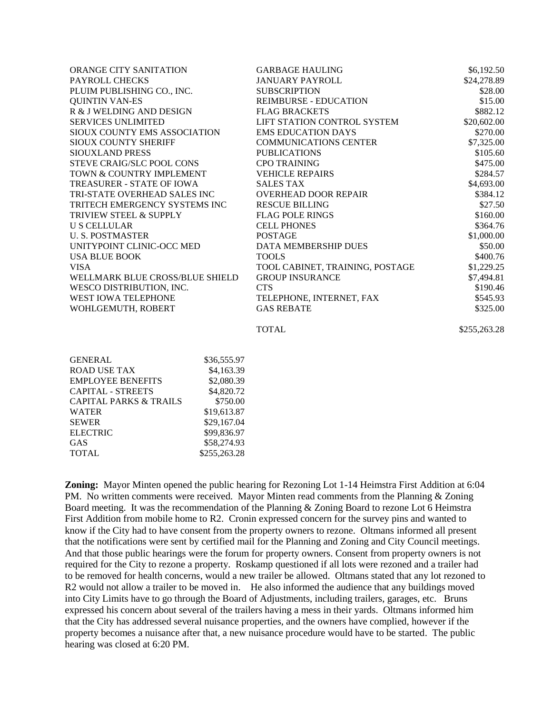| ORANGE CITY SANITATION          | <b>GARBAGE HAULING</b><br>\$6,192.50 |              |
|---------------------------------|--------------------------------------|--------------|
| PAYROLL CHECKS                  | <b>JANUARY PAYROLL</b>               | \$24,278.89  |
| PLUIM PUBLISHING CO., INC.      | <b>SUBSCRIPTION</b>                  | \$28.00      |
| <b>QUINTIN VAN-ES</b>           | <b>REIMBURSE - EDUCATION</b>         | \$15.00      |
| R & J WELDING AND DESIGN        | <b>FLAG BRACKETS</b>                 | \$882.12     |
| <b>SERVICES UNLIMITED</b>       | LIFT STATION CONTROL SYSTEM          | \$20,602.00  |
| SIOUX COUNTY EMS ASSOCIATION    | <b>EMS EDUCATION DAYS</b>            | \$270.00     |
| <b>SIOUX COUNTY SHERIFF</b>     | <b>COMMUNICATIONS CENTER</b>         | \$7,325.00   |
| <b>SIOUXLAND PRESS</b>          | <b>PUBLICATIONS</b>                  | \$105.60     |
| STEVE CRAIG/SLC POOL CONS       | <b>CPO TRAINING</b>                  | \$475.00     |
| TOWN & COUNTRY IMPLEMENT        | <b>VEHICLE REPAIRS</b>               | \$284.57     |
| TREASURER - STATE OF IOWA       | <b>SALES TAX</b>                     | \$4,693.00   |
| TRI-STATE OVERHEAD SALES INC    | <b>OVERHEAD DOOR REPAIR</b>          | \$384.12     |
| TRITECH EMERGENCY SYSTEMS INC   | <b>RESCUE BILLING</b>                | \$27.50      |
| TRIVIEW STEEL & SUPPLY          | <b>FLAG POLE RINGS</b>               | \$160.00     |
| <b>U S CELLULAR</b>             | <b>CELL PHONES</b>                   | \$364.76     |
| <b>U. S. POSTMASTER</b>         | <b>POSTAGE</b>                       | \$1,000.00   |
| UNITYPOINT CLINIC-OCC MED       | DATA MEMBERSHIP DUES                 | \$50.00      |
| <b>USA BLUE BOOK</b>            | <b>TOOLS</b>                         | \$400.76     |
| <b>VISA</b>                     | TOOL CABINET, TRAINING, POSTAGE      | \$1,229.25   |
| WELLMARK BLUE CROSS/BLUE SHIELD | <b>GROUP INSURANCE</b>               | \$7,494.81   |
| WESCO DISTRIBUTION, INC.        | <b>CTS</b>                           | \$190.46     |
| <b>WEST IOWA TELEPHONE</b>      | TELEPHONE, INTERNET, FAX             | \$545.93     |
| WOHLGEMUTH, ROBERT              | <b>GAS REBATE</b>                    | \$325.00     |
|                                 | <b>TOTAL</b>                         | \$255,263.28 |

| <b>GENERAL</b>                    | \$36,555.97  |
|-----------------------------------|--------------|
| <b>ROAD USE TAX</b>               | \$4,163.39   |
| <b>EMPLOYEE BENEFITS</b>          | \$2,080.39   |
| <b>CAPITAL - STREETS</b>          | \$4,820.72   |
| <b>CAPITAL PARKS &amp; TRAILS</b> | \$750.00     |
| <b>WATER</b>                      | \$19,613.87  |
| <b>SEWER</b>                      | \$29,167.04  |
| <b>ELECTRIC</b>                   | \$99,836.97  |
| GAS                               | \$58,274.93  |
| <b>TOTAL</b>                      | \$255,263.28 |
|                                   |              |

**Zoning:** Mayor Minten opened the public hearing for Rezoning Lot 1-14 Heimstra First Addition at 6:04 PM. No written comments were received. Mayor Minten read comments from the Planning & Zoning Board meeting. It was the recommendation of the Planning & Zoning Board to rezone Lot 6 Heimstra First Addition from mobile home to R2. Cronin expressed concern for the survey pins and wanted to know if the City had to have consent from the property owners to rezone. Oltmans informed all present that the notifications were sent by certified mail for the Planning and Zoning and City Council meetings. And that those public hearings were the forum for property owners. Consent from property owners is not required for the City to rezone a property. Roskamp questioned if all lots were rezoned and a trailer had to be removed for health concerns, would a new trailer be allowed. Oltmans stated that any lot rezoned to R2 would not allow a trailer to be moved in. He also informed the audience that any buildings moved into City Limits have to go through the Board of Adjustments, including trailers, garages, etc. Bruns expressed his concern about several of the trailers having a mess in their yards. Oltmans informed him that the City has addressed several nuisance properties, and the owners have complied, however if the property becomes a nuisance after that, a new nuisance procedure would have to be started. The public hearing was closed at 6:20 PM.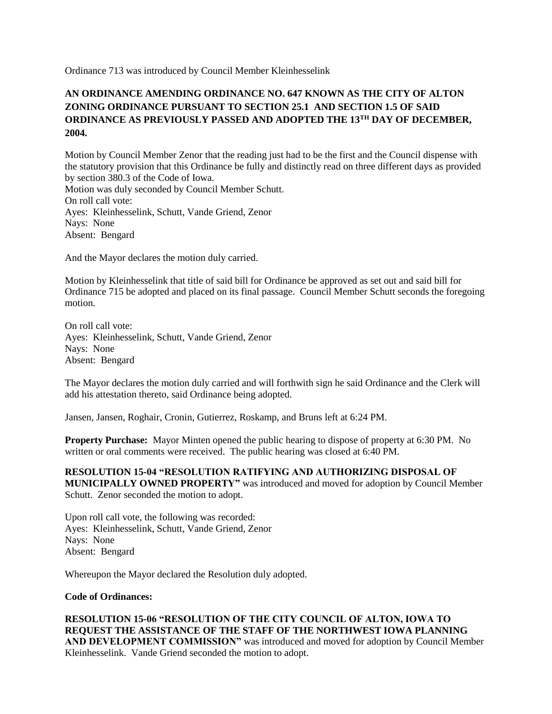Ordinance 713 was introduced by Council Member Kleinhesselink

# **AN ORDINANCE AMENDING ORDINANCE NO. 647 KNOWN AS THE CITY OF ALTON ZONING ORDINANCE PURSUANT TO SECTION 25.1 AND SECTION 1.5 OF SAID ORDINANCE AS PREVIOUSLY PASSED AND ADOPTED THE 13TH DAY OF DECEMBER, 2004.**

Motion by Council Member Zenor that the reading just had to be the first and the Council dispense with the statutory provision that this Ordinance be fully and distinctly read on three different days as provided by section 380.3 of the Code of Iowa. Motion was duly seconded by Council Member Schutt. On roll call vote: Ayes: Kleinhesselink, Schutt, Vande Griend, Zenor Nays: None

Absent: Bengard

And the Mayor declares the motion duly carried.

Motion by Kleinhesselink that title of said bill for Ordinance be approved as set out and said bill for Ordinance 715 be adopted and placed on its final passage. Council Member Schutt seconds the foregoing motion.

On roll call vote: Ayes: Kleinhesselink, Schutt, Vande Griend, Zenor Nays: None Absent: Bengard

The Mayor declares the motion duly carried and will forthwith sign he said Ordinance and the Clerk will add his attestation thereto, said Ordinance being adopted.

Jansen, Jansen, Roghair, Cronin, Gutierrez, Roskamp, and Bruns left at 6:24 PM.

**Property Purchase:** Mayor Minten opened the public hearing to dispose of property at 6:30 PM. No written or oral comments were received. The public hearing was closed at 6:40 PM.

**RESOLUTION 15-04 "RESOLUTION RATIFYING AND AUTHORIZING DISPOSAL OF MUNICIPALLY OWNED PROPERTY"** was introduced and moved for adoption by Council Member Schutt. Zenor seconded the motion to adopt.

Upon roll call vote, the following was recorded: Ayes: Kleinhesselink, Schutt, Vande Griend, Zenor Nays: None Absent: Bengard

Whereupon the Mayor declared the Resolution duly adopted.

**Code of Ordinances:** 

**RESOLUTION 15-06 "RESOLUTION OF THE CITY COUNCIL OF ALTON, IOWA TO REQUEST THE ASSISTANCE OF THE STAFF OF THE NORTHWEST IOWA PLANNING AND DEVELOPMENT COMMISSION"** was introduced and moved for adoption by Council Member Kleinhesselink. Vande Griend seconded the motion to adopt.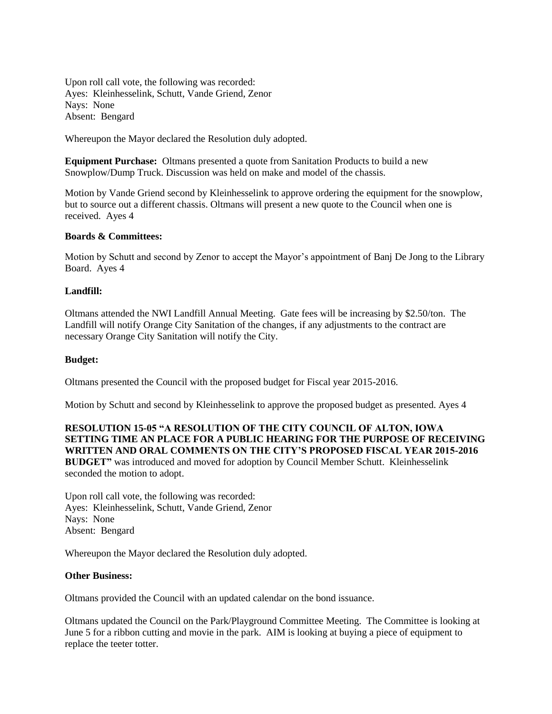Upon roll call vote, the following was recorded: Ayes: Kleinhesselink, Schutt, Vande Griend, Zenor Nays: None Absent: Bengard

Whereupon the Mayor declared the Resolution duly adopted.

**Equipment Purchase:** Oltmans presented a quote from Sanitation Products to build a new Snowplow/Dump Truck. Discussion was held on make and model of the chassis.

Motion by Vande Griend second by Kleinhesselink to approve ordering the equipment for the snowplow, but to source out a different chassis. Oltmans will present a new quote to the Council when one is received. Ayes 4

#### **Boards & Committees:**

Motion by Schutt and second by Zenor to accept the Mayor's appointment of Banj De Jong to the Library Board. Ayes 4

#### **Landfill:**

Oltmans attended the NWI Landfill Annual Meeting. Gate fees will be increasing by \$2.50/ton. The Landfill will notify Orange City Sanitation of the changes, if any adjustments to the contract are necessary Orange City Sanitation will notify the City.

#### **Budget:**

Oltmans presented the Council with the proposed budget for Fiscal year 2015-2016.

Motion by Schutt and second by Kleinhesselink to approve the proposed budget as presented. Ayes 4

**RESOLUTION 15-05 "A RESOLUTION OF THE CITY COUNCIL OF ALTON, IOWA SETTING TIME AN PLACE FOR A PUBLIC HEARING FOR THE PURPOSE OF RECEIVING WRITTEN AND ORAL COMMENTS ON THE CITY'S PROPOSED FISCAL YEAR 2015-2016 BUDGET"** was introduced and moved for adoption by Council Member Schutt. Kleinhesselink seconded the motion to adopt.

Upon roll call vote, the following was recorded: Ayes: Kleinhesselink, Schutt, Vande Griend, Zenor Nays: None Absent: Bengard

Whereupon the Mayor declared the Resolution duly adopted.

## **Other Business:**

Oltmans provided the Council with an updated calendar on the bond issuance.

Oltmans updated the Council on the Park/Playground Committee Meeting. The Committee is looking at June 5 for a ribbon cutting and movie in the park. AIM is looking at buying a piece of equipment to replace the teeter totter.